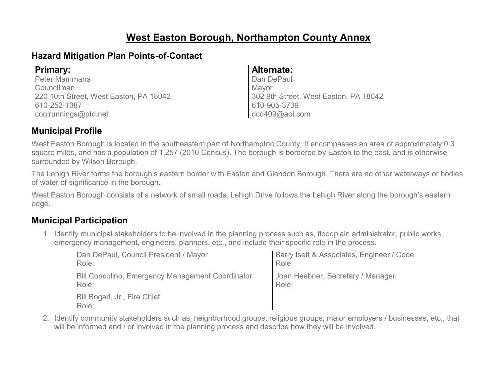# **West Easton Borough, Northampton County Annex**

### **Hazard Mitigation Plan Points-of-Contact**

Peter Mammana Councilman 220 10th Street, West Easton, PA 18042 610-252-1387 coolrunnings@ptd.net

#### **Primary: Alternate:**

Dan DePaul Mayor 302 9th Street, West Easton, PA 18042 610-905-3739 dcd409@aol.com

### **Municipal Profile**

West Easton Borough is located in the southeastern part of Northampton County. It encompasses an area of approximately 0.3 square miles, and has a population of 1,257 (2010 Census). The borough is bordered by Easton to the east, and is otherwise surrounded by Wilson Borough.

The Lehigh River forms the borough's eastern border with Easton and Glendon Borough. There are no other waterways or bodies of water of significance in the borough.

West Easton Borough consists of a network of small roads. Lehigh Drive follows the Lehigh River along the borough's eastern edge.

### **Municipal Participation**

1. Identify municipal stakeholders to be involved in the planning process such as, floodplain administrator, public works, emergency management, engineers, planners, etc., and include their specific role in the process.

| Dan DePaul, Council President / Mayor                   | Barry Isett & Associates, Engineer / Code |
|---------------------------------------------------------|-------------------------------------------|
| Role:                                                   | Role:                                     |
| <b>Bill Concolino, Emergency Management Coordinator</b> | Joan Heebner, Secretary / Manager         |
| Role:                                                   | Role:                                     |
| Bill Bogari, Jr., Fire Chief<br>Role:                   |                                           |

2. Identify community stakeholders such as; neighborhood groups, religious groups, major employers / businesses, etc., that will be informed and / or involved in the planning process and describe how they will be involved.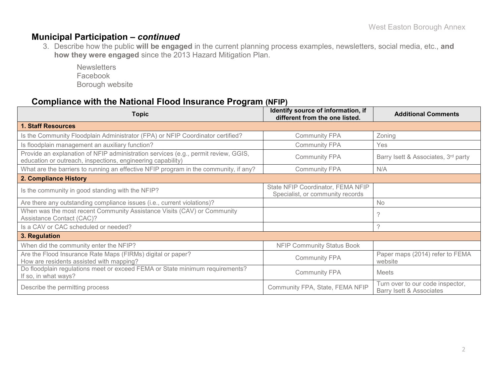#### **Municipal Participation –** *continued*

3. Describe how the public **will be engaged** in the current planning process examples, newsletters, social media, etc., **and how they were engaged** since the 2013 Hazard Mitigation Plan.

**Newsletters** Facebook Borough website

### **Compliance with the National Flood Insurance Program (NFIP)**

| <b>Topic</b>                                                                                                                                      | Identify source of information, if<br>different from the one listed.  | <b>Additional Comments</b>                                   |
|---------------------------------------------------------------------------------------------------------------------------------------------------|-----------------------------------------------------------------------|--------------------------------------------------------------|
| <b>1. Staff Resources</b>                                                                                                                         |                                                                       |                                                              |
| Is the Community Floodplain Administrator (FPA) or NFIP Coordinator certified?                                                                    | <b>Community FPA</b>                                                  | Zoning                                                       |
| Is floodplain management an auxiliary function?                                                                                                   | <b>Community FPA</b>                                                  | Yes                                                          |
| Provide an explanation of NFIP administration services (e.g., permit review, GGIS,<br>education or outreach, inspections, engineering capability) | <b>Community FPA</b>                                                  | Barry Isett & Associates, 3rd party                          |
| What are the barriers to running an effective NFIP program in the community, if any?                                                              | <b>Community FPA</b>                                                  | N/A                                                          |
| 2. Compliance History                                                                                                                             |                                                                       |                                                              |
| Is the community in good standing with the NFIP?                                                                                                  | State NFIP Coordinator, FEMA NFIP<br>Specialist, or community records |                                                              |
| Are there any outstanding compliance issues (i.e., current violations)?                                                                           |                                                                       | <b>No</b>                                                    |
| When was the most recent Community Assistance Visits (CAV) or Community<br><b>Assistance Contact (CAC)?</b>                                       |                                                                       | っ                                                            |
| Is a CAV or CAC scheduled or needed?                                                                                                              |                                                                       | ?                                                            |
| 3. Regulation                                                                                                                                     |                                                                       |                                                              |
| When did the community enter the NFIP?                                                                                                            | <b>NFIP Community Status Book</b>                                     |                                                              |
| Are the Flood Insurance Rate Maps (FIRMs) digital or paper?<br>How are residents assisted with mapping?                                           | <b>Community FPA</b>                                                  | Paper maps (2014) refer to FEMA<br>website                   |
| Do floodplain regulations meet or exceed FEMA or State minimum requirements?<br>If so, in what ways?                                              | <b>Community FPA</b>                                                  | <b>Meets</b>                                                 |
| Describe the permitting process                                                                                                                   | Community FPA, State, FEMA NFIP                                       | Turn over to our code inspector,<br>Barry Isett & Associates |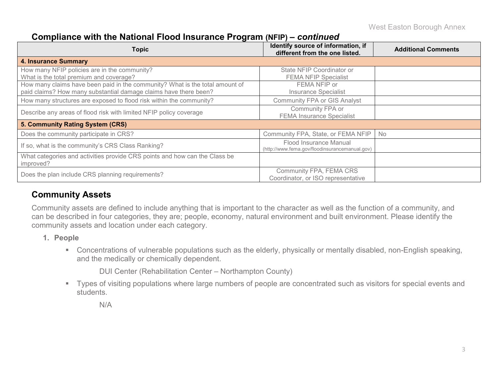West Easton Borough Annex

#### **Compliance with the National Flood Insurance Program (NFIP) –** *continued*

| <b>Topic</b>                                                                                                                                     | Identify source of information, if<br>different from the one listed.     | <b>Additional Comments</b> |
|--------------------------------------------------------------------------------------------------------------------------------------------------|--------------------------------------------------------------------------|----------------------------|
| <b>4. Insurance Summary</b>                                                                                                                      |                                                                          |                            |
| How many NFIP policies are in the community?<br>What is the total premium and coverage?                                                          | State NFIP Coordinator or<br><b>FEMA NFIP Specialist</b>                 |                            |
| How many claims have been paid in the community? What is the total amount of<br>paid claims? How many substantial damage claims have there been? | FEMA NFIP or<br><b>Insurance Specialist</b>                              |                            |
| How many structures are exposed to flood risk within the community?                                                                              | <b>Community FPA or GIS Analyst</b>                                      |                            |
| Describe any areas of flood risk with limited NFIP policy coverage                                                                               | Community FPA or<br><b>FEMA Insurance Specialist</b>                     |                            |
| 5. Community Rating System (CRS)                                                                                                                 |                                                                          |                            |
| Does the community participate in CRS?                                                                                                           | Community FPA, State, or FEMA NFIP                                       | No                         |
| If so, what is the community's CRS Class Ranking?                                                                                                | Flood Insurance Manual<br>(http://www.fema.gov/floodinsurancemanual.gov) |                            |
| What categories and activities provide CRS points and how can the Class be<br>improved?                                                          |                                                                          |                            |
| Does the plan include CRS planning requirements?                                                                                                 | Community FPA, FEMA CRS<br>Coordinator, or ISO representative            |                            |

### **Community Assets**

Community assets are defined to include anything that is important to the character as well as the function of a community, and can be described in four categories, they are; people, economy, natural environment and built environment. Please identify the community assets and location under each category.

- **1. People**
	- Concentrations of vulnerable populations such as the elderly, physically or mentally disabled, non-English speaking, and the medically or chemically dependent.

DUI Center (Rehabilitation Center – Northampton County)

 Types of visiting populations where large numbers of people are concentrated such as visitors for special events and students.

N/A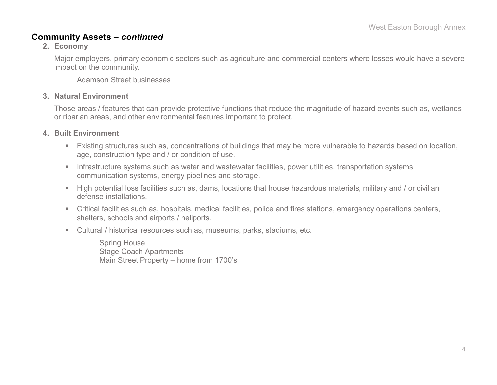#### **Community Assets –** *continued*

#### **2. Economy**

Major employers, primary economic sectors such as agriculture and commercial centers where losses would have a severe impact on the community.

Adamson Street businesses

#### **3. Natural Environment**

Those areas / features that can provide protective functions that reduce the magnitude of hazard events such as, wetlands or riparian areas, and other environmental features important to protect.

#### **4. Built Environment**

- Existing structures such as, concentrations of buildings that may be more vulnerable to hazards based on location, age, construction type and / or condition of use.
- **Infrastructure systems such as water and wastewater facilities, power utilities, transportation systems,** communication systems, energy pipelines and storage.
- High potential loss facilities such as, dams, locations that house hazardous materials, military and / or civilian defense installations.
- Critical facilities such as, hospitals, medical facilities, police and fires stations, emergency operations centers, shelters, schools and airports / heliports.
- Cultural / historical resources such as, museums, parks, stadiums, etc.

Spring House Stage Coach Apartments Main Street Property – home from 1700's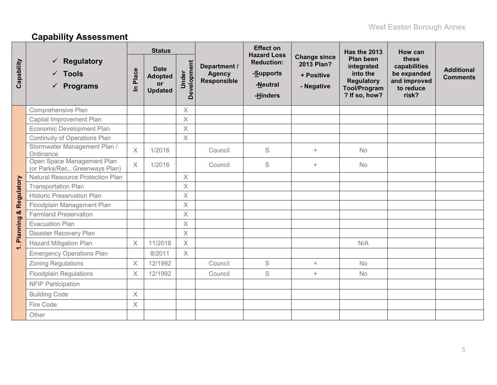# **Capability Assessment**

|                 |                                                                 |                      | <b>Status</b>                                         |                      |                                                     | <b>Effect on</b><br><b>Hazard Loss</b>                 |                                                               | Has the 2013                                                                                            | How can                                                                    |                                      |
|-----------------|-----------------------------------------------------------------|----------------------|-------------------------------------------------------|----------------------|-----------------------------------------------------|--------------------------------------------------------|---------------------------------------------------------------|---------------------------------------------------------------------------------------------------------|----------------------------------------------------------------------------|--------------------------------------|
| Capability      | <b>Regulatory</b><br>$\checkmark$ Tools<br><b>Programs</b><br>✓ | Place<br>$\subseteq$ | <b>Date</b><br><b>Adopted</b><br>or<br><b>Updated</b> | Development<br>Under | Department /<br><b>Agency</b><br><b>Responsible</b> | <b>Reduction:</b><br>-Supports<br>-Neutral<br>-Hinders | <b>Change since</b><br>2013 Plan?<br>+ Positive<br>- Negative | <b>Plan been</b><br>integrated<br>into the<br><b>Regulatory</b><br><b>Tool/Program</b><br>? If so, how? | these<br>capabilities<br>be expanded<br>and improved<br>to reduce<br>risk? | <b>Additional</b><br><b>Comments</b> |
|                 | Comprehensive Plan                                              |                      |                                                       | $\times$             |                                                     |                                                        |                                                               |                                                                                                         |                                                                            |                                      |
|                 | Capital Improvement Plan                                        |                      |                                                       | $\times$             |                                                     |                                                        |                                                               |                                                                                                         |                                                                            |                                      |
|                 | Economic Development Plan                                       |                      |                                                       | $\times$             |                                                     |                                                        |                                                               |                                                                                                         |                                                                            |                                      |
|                 | <b>Continuity of Operations Plan</b>                            |                      |                                                       | $\times$             |                                                     |                                                        |                                                               |                                                                                                         |                                                                            |                                      |
|                 | Stormwater Management Plan /<br>Ordinance                       | $\times$             | 1/2016                                                |                      | Council                                             | $\mathsf S$                                            | $+$                                                           | No                                                                                                      |                                                                            |                                      |
|                 | Open Space Management Plan<br>(or Parks/Rec., Greenways Plan)   | $\chi$               | 1/2016                                                |                      | Council                                             | S                                                      | $+$                                                           | <b>No</b>                                                                                               |                                                                            |                                      |
|                 | <b>Natural Resource Protection Plan</b>                         |                      |                                                       | $\times$             |                                                     |                                                        |                                                               |                                                                                                         |                                                                            |                                      |
| Regulatory      | <b>Transportation Plan</b>                                      |                      |                                                       | $\times$             |                                                     |                                                        |                                                               |                                                                                                         |                                                                            |                                      |
|                 | <b>Historic Preservation Plan</b>                               |                      |                                                       | $\times$             |                                                     |                                                        |                                                               |                                                                                                         |                                                                            |                                      |
|                 | Floodplain Management Plan                                      |                      |                                                       | $\times$             |                                                     |                                                        |                                                               |                                                                                                         |                                                                            |                                      |
| ×               | <b>Farmland Preservation</b>                                    |                      |                                                       | $\mathsf X$          |                                                     |                                                        |                                                               |                                                                                                         |                                                                            |                                      |
|                 | <b>Evacuation Plan</b>                                          |                      |                                                       | $\times$             |                                                     |                                                        |                                                               |                                                                                                         |                                                                            |                                      |
| <b>Planning</b> | Disaster Recovery Plan                                          |                      |                                                       | $\times$             |                                                     |                                                        |                                                               |                                                                                                         |                                                                            |                                      |
| $\div$          | <b>Hazard Mitigation Plan</b>                                   | $\times$             | 11/2018                                               | $\times$             |                                                     |                                                        |                                                               | N/A                                                                                                     |                                                                            |                                      |
|                 | <b>Emergency Operations Plan</b>                                |                      | 8/2011                                                | $\times$             |                                                     |                                                        |                                                               |                                                                                                         |                                                                            |                                      |
|                 | <b>Zoning Regulations</b>                                       | $\times$             | 12/1992                                               |                      | Council                                             | S                                                      | $+$                                                           | <b>No</b>                                                                                               |                                                                            |                                      |
|                 | <b>Floodplain Regulations</b>                                   | X                    | 12/1992                                               |                      | Council                                             | S                                                      | $+$                                                           | <b>No</b>                                                                                               |                                                                            |                                      |
|                 | <b>NFIP Participation</b>                                       |                      |                                                       |                      |                                                     |                                                        |                                                               |                                                                                                         |                                                                            |                                      |
|                 | <b>Building Code</b>                                            | $\chi$               |                                                       |                      |                                                     |                                                        |                                                               |                                                                                                         |                                                                            |                                      |
|                 | Fire Code                                                       | $\times$             |                                                       |                      |                                                     |                                                        |                                                               |                                                                                                         |                                                                            |                                      |
|                 | Other                                                           |                      |                                                       |                      |                                                     |                                                        |                                                               |                                                                                                         |                                                                            |                                      |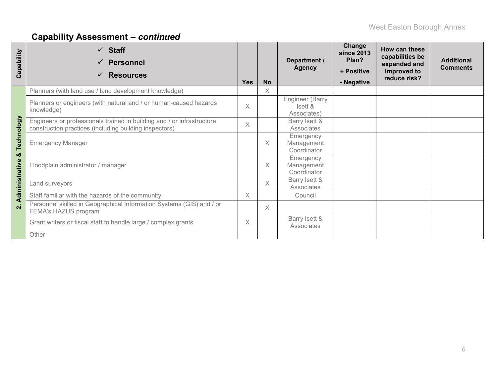# **Capability Assessment –** *continued*

| Capability           | $\checkmark$ Staff<br><b>Personnel</b><br><b>Resources</b><br>$\checkmark$                                                       | <b>Yes</b>                              | <b>No</b> | Department /<br><b>Agency</b>             | Change<br><b>since 2013</b><br>Plan?<br>+ Positive<br>- Negative | How can these<br>capabilities be<br>expanded and<br>improved to<br>reduce risk? | <b>Additional</b><br><b>Comments</b> |
|----------------------|----------------------------------------------------------------------------------------------------------------------------------|-----------------------------------------|-----------|-------------------------------------------|------------------------------------------------------------------|---------------------------------------------------------------------------------|--------------------------------------|
|                      | Planners (with land use / land development knowledge)                                                                            |                                         | $\times$  |                                           |                                                                  |                                                                                 |                                      |
|                      | Planners or engineers (with natural and / or human-caused hazards<br>knowledge)                                                  | $\times$                                |           | Engineer (Barry<br>Isett &<br>Associates) |                                                                  |                                                                                 |                                      |
|                      | Engineers or professionals trained in building and / or infrastructure<br>construction practices (including building inspectors) | $\times$                                |           | Barry Isett &<br>Associates               |                                                                  |                                                                                 |                                      |
| Technology           | <b>Emergency Manager</b>                                                                                                         |                                         | X         | Emergency<br>Management<br>Coordinator    |                                                                  |                                                                                 |                                      |
| ×ŏ<br>Administrative | Floodplain administrator / manager                                                                                               |                                         | X         | Emergency<br>Management<br>Coordinator    |                                                                  |                                                                                 |                                      |
|                      | Land surveyors                                                                                                                   |                                         | $\times$  | Barry Isett &<br>Associates               |                                                                  |                                                                                 |                                      |
|                      | Staff familiar with the hazards of the community                                                                                 | X                                       |           | Council                                   |                                                                  |                                                                                 |                                      |
| $\dot{\mathbf{v}}$   | Personnel skilled in Geographical Information Systems (GIS) and / or<br>FEMA's HAZUS program                                     |                                         | $\times$  |                                           |                                                                  |                                                                                 |                                      |
|                      | Grant writers or fiscal staff to handle large / complex grants                                                                   | Barry Isett &<br>$\times$<br>Associates |           |                                           |                                                                  |                                                                                 |                                      |
|                      | Other                                                                                                                            |                                         |           |                                           |                                                                  |                                                                                 |                                      |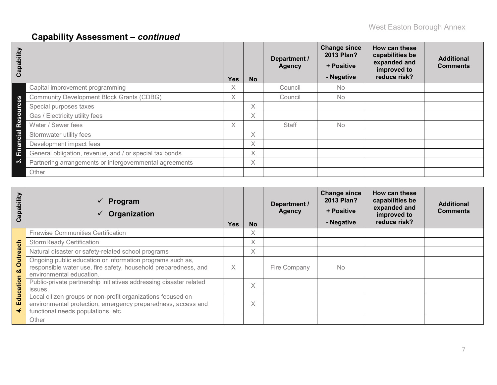# **Capability Assessment –** *continued*

| Capability                        |                                                         | <b>Yes</b> | <b>No</b> | Department /<br><b>Agency</b> | <b>Change since</b><br>2013 Plan?<br>+ Positive<br>- Negative | How can these<br>capabilities be<br>expanded and<br>improved to<br>reduce risk? | <b>Additional</b><br><b>Comments</b> |
|-----------------------------------|---------------------------------------------------------|------------|-----------|-------------------------------|---------------------------------------------------------------|---------------------------------------------------------------------------------|--------------------------------------|
|                                   | Capital improvement programming                         | X.         |           | Council                       | No.                                                           |                                                                                 |                                      |
| <b>SD</b>                         | <b>Community Development Block Grants (CDBG)</b>        | X.         |           | Council                       | <b>No</b>                                                     |                                                                                 |                                      |
| $\epsilon$<br>Б                   | Special purposes taxes                                  |            | Χ         |                               |                                                               |                                                                                 |                                      |
| $\Omega$<br>$\boldsymbol{\omega}$ | Gas / Electricity utility fees                          |            | X         |                               |                                                               |                                                                                 |                                      |
| <u>လို</u>                        | Water / Sewer fees                                      | X.         |           | <b>Staff</b>                  | <b>No</b>                                                     |                                                                                 |                                      |
| Cial                              | Stormwater utility fees                                 |            | X         |                               |                                                               |                                                                                 |                                      |
| ā                                 | Development impact fees                                 |            | X         |                               |                                                               |                                                                                 |                                      |
| Ĕ                                 | General obligation, revenue, and / or special tax bonds |            | X         |                               |                                                               |                                                                                 |                                      |
| က                                 | Partnering arrangements or intergovernmental agreements |            | $\times$  |                               |                                                               |                                                                                 |                                      |
|                                   | Other                                                   |            |           |                               |                                                               |                                                                                 |                                      |

| Capability    | Program<br>$\checkmark$<br>Organization                                                                                                                           | <b>Yes</b> | <b>No</b> | Department /<br><b>Agency</b> | <b>Change since</b><br>2013 Plan?<br>+ Positive<br>- Negative | How can these<br>capabilities be<br>expanded and<br>improved to<br>reduce risk? | <b>Additional</b><br><b>Comments</b> |
|---------------|-------------------------------------------------------------------------------------------------------------------------------------------------------------------|------------|-----------|-------------------------------|---------------------------------------------------------------|---------------------------------------------------------------------------------|--------------------------------------|
|               | <b>Firewise Communities Certification</b>                                                                                                                         |            | X         |                               |                                                               |                                                                                 |                                      |
|               | <b>StormReady Certification</b>                                                                                                                                   |            | X         |                               |                                                               |                                                                                 |                                      |
|               | Natural disaster or safety-related school programs                                                                                                                |            | Χ         |                               |                                                               |                                                                                 |                                      |
| Outreach<br>ಯ | Ongoing public education or information programs such as,<br>responsible water use, fire safety, household preparedness, and<br>environmental education.          | $\times$   |           | Fire Company                  | <b>No</b>                                                     |                                                                                 |                                      |
| Education     | Public-private partnership initiatives addressing disaster related<br>issues.                                                                                     |            | X         |                               |                                                               |                                                                                 |                                      |
| ₹             | Local citizen groups or non-profit organizations focused on<br>environmental protection, emergency preparedness, access and<br>functional needs populations, etc. |            | X         |                               |                                                               |                                                                                 |                                      |
|               | Other                                                                                                                                                             |            |           |                               |                                                               |                                                                                 |                                      |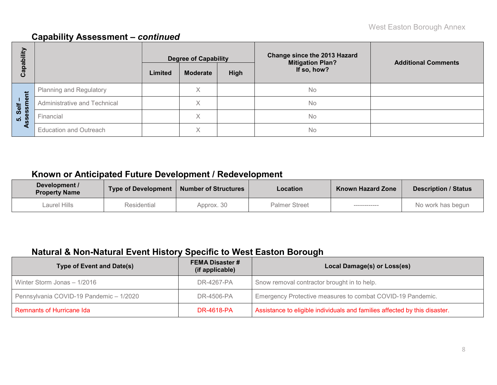### **Capability Assessment –** *continued*

| E<br>هَ           |                               |         | <b>Degree of Capability</b> |      | <b>Change since the 2013 Hazard</b><br><b>Mitigation Plan?</b> | <b>Additional Comments</b> |  |  |
|-------------------|-------------------------------|---------|-----------------------------|------|----------------------------------------------------------------|----------------------------|--|--|
| <u>թզ</u><br>ပိ   |                               | Limited | <b>Moderate</b>             | High | If so, how?                                                    |                            |  |  |
|                   | Planning and Regulatory       |         | Χ                           |      | <b>No</b>                                                      |                            |  |  |
| Self –<br>essment | Administrative and Technical  |         | Χ                           |      | <b>No</b>                                                      |                            |  |  |
| <u>ທີ່ 8</u>      | Financial                     |         | X                           |      | No                                                             |                            |  |  |
| ⋖                 | <b>Education and Outreach</b> |         | Χ                           |      | <b>No</b>                                                      |                            |  |  |

## **Known or Anticipated Future Development / Redevelopment**

| Development /<br><b>Property Name</b> | <b>Type of Development</b> | <b>Number of Structures</b> | <b>Location</b>      | <b>Known Hazard Zone</b> | <b>Description / Status</b> |
|---------------------------------------|----------------------------|-----------------------------|----------------------|--------------------------|-----------------------------|
| Laurel Hills                          | Residential                | Approx. 30                  | <b>Palmer Street</b> | ___________              | No work has begun           |

## **Natural & Non-Natural Event History Specific to West Easton Borough**

| <b>Type of Event and Date(s)</b>        | <b>FEMA Disaster #</b><br>(if applicable) | Local Damage(s) or Loss(es)                                                |
|-----------------------------------------|-------------------------------------------|----------------------------------------------------------------------------|
| Winter Storm Jonas - 1/2016             | DR-4267-PA                                | Snow removal contractor brought in to help.                                |
| Pennsylvania COVID-19 Pandemic - 1/2020 | DR-4506-PA                                | Emergency Protective measures to combat COVID-19 Pandemic.                 |
| <b>Remnants of Hurricane Ida</b>        | <b>DR-4618-PA</b>                         | Assistance to eligible individuals and families affected by this disaster. |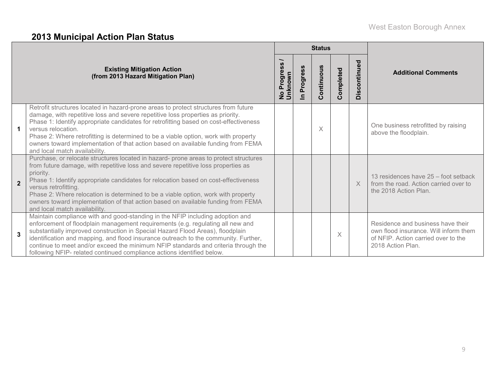# **2013 Municipal Action Plan Status**

|                      |                                                                                                                                                                                                                                                                                                                                                                                                                                                                                                                  |                                 |                          | <b>Status</b> |           |                  |                                                                                                                                        |
|----------------------|------------------------------------------------------------------------------------------------------------------------------------------------------------------------------------------------------------------------------------------------------------------------------------------------------------------------------------------------------------------------------------------------------------------------------------------------------------------------------------------------------------------|---------------------------------|--------------------------|---------------|-----------|------------------|----------------------------------------------------------------------------------------------------------------------------------------|
|                      | <b>Existing Mitigation Action</b><br>(from 2013 Hazard Mitigation Plan)                                                                                                                                                                                                                                                                                                                                                                                                                                          | Progres<br>No Progre<br>Unknown | Progress<br>$\mathbf{a}$ | Continuous    | Completed | pontinued<br>Dis | <b>Additional Comments</b>                                                                                                             |
| $\blacktriangleleft$ | Retrofit structures located in hazard-prone areas to protect structures from future<br>damage, with repetitive loss and severe repetitive loss properties as priority.<br>Phase 1: Identify appropriate candidates for retrofitting based on cost-effectiveness<br>versus relocation.<br>Phase 2: Where retrofitting is determined to be a viable option, work with property<br>owners toward implementation of that action based on available funding from FEMA<br>and local match availability.                |                                 |                          | X             |           |                  | One business retrofitted by raising<br>above the floodplain.                                                                           |
| $\overline{2}$       | Purchase, or relocate structures located in hazard- prone areas to protect structures<br>from future damage, with repetitive loss and severe repetitive loss properties as<br>priority.<br>Phase 1: Identify appropriate candidates for relocation based on cost-effectiveness<br>versus retrofitting.<br>Phase 2: Where relocation is determined to be a viable option, work with property<br>owners toward implementation of that action based on available funding from FEMA<br>and local match availability. |                                 |                          |               |           | $\times$         | 13 residences have 25 – foot setback<br>from the road. Action carried over to<br>the 2018 Action Plan.                                 |
| 3                    | Maintain compliance with and good-standing in the NFIP including adoption and<br>enforcement of floodplain management requirements (e.g. regulating all new and<br>substantially improved construction in Special Hazard Flood Areas), floodplain<br>identification and mapping, and flood insurance outreach to the community. Further,<br>continue to meet and/or exceed the minimum NFIP standards and criteria through the<br>following NFIP- related continued compliance actions identified below.         |                                 |                          |               | X         |                  | Residence and business have their<br>own flood insurance. Will inform them<br>of NFIP. Action carried over to the<br>2018 Action Plan. |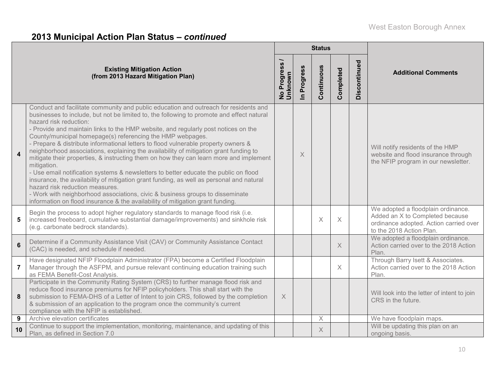# **2013 Municipal Action Plan Status –** *continued*

|                |                                                                                                                                                                                                                                                                                                                                                                                                                                                                                                                                                                                                                                                                                                                                                                                                                                                                                                                                                                                                                                                   |                                                                |             | <b>Status</b> |           |              |                                                                                                                                             |
|----------------|---------------------------------------------------------------------------------------------------------------------------------------------------------------------------------------------------------------------------------------------------------------------------------------------------------------------------------------------------------------------------------------------------------------------------------------------------------------------------------------------------------------------------------------------------------------------------------------------------------------------------------------------------------------------------------------------------------------------------------------------------------------------------------------------------------------------------------------------------------------------------------------------------------------------------------------------------------------------------------------------------------------------------------------------------|----------------------------------------------------------------|-------------|---------------|-----------|--------------|---------------------------------------------------------------------------------------------------------------------------------------------|
|                | <b>Existing Mitigation Action</b><br>(from 2013 Hazard Mitigation Plan)                                                                                                                                                                                                                                                                                                                                                                                                                                                                                                                                                                                                                                                                                                                                                                                                                                                                                                                                                                           | <b>S</b><br>$\ddot{\bm{v}}$<br>Progres<br>No Progre<br>Unknown | In Progress | Continuous    | Completed | Discontinued | <b>Additional Comments</b>                                                                                                                  |
| $\overline{4}$ | Conduct and facilitate community and public education and outreach for residents and<br>businesses to include, but not be limited to, the following to promote and effect natural<br>hazard risk reduction:<br>- Provide and maintain links to the HMP website, and regularly post notices on the<br>County/municipal homepage(s) referencing the HMP webpages.<br>- Prepare & distribute informational letters to flood vulnerable property owners &<br>neighborhood associations, explaining the availability of mitigation grant funding to<br>mitigate their properties, & instructing them on how they can learn more and implement<br>mitigation.<br>- Use email notification systems & newsletters to better educate the public on flood<br>insurance, the availability of mitigation grant funding, as well as personal and natural<br>hazard risk reduction measures.<br>- Work with neighborhood associations, civic & business groups to disseminate<br>information on flood insurance & the availability of mitigation grant funding. |                                                                | X           |               |           |              | Will notify residents of the HMP<br>website and flood insurance through<br>the NFIP program in our newsletter.                              |
| 5              | Begin the process to adopt higher regulatory standards to manage flood risk (i.e.<br>increased freeboard, cumulative substantial damage/improvements) and sinkhole risk<br>(e.g. carbonate bedrock standards).                                                                                                                                                                                                                                                                                                                                                                                                                                                                                                                                                                                                                                                                                                                                                                                                                                    |                                                                |             | $\times$      | $\times$  |              | We adopted a floodplain ordinance.<br>Added an X to Completed because<br>ordinance adopted. Action carried over<br>to the 2018 Action Plan. |
| $\bf 6$        | Determine if a Community Assistance Visit (CAV) or Community Assistance Contact<br>(CAC) is needed, and schedule if needed.                                                                                                                                                                                                                                                                                                                                                                                                                                                                                                                                                                                                                                                                                                                                                                                                                                                                                                                       |                                                                |             |               | X         |              | We adopted a floodplain ordinance.<br>Action carried over to the 2018 Action<br>Plan.                                                       |
| $\overline{7}$ | Have designated NFIP Floodplain Administrator (FPA) become a Certified Floodplain<br>Manager through the ASFPM, and pursue relevant continuing education training such<br>as FEMA Benefit-Cost Analysis.                                                                                                                                                                                                                                                                                                                                                                                                                                                                                                                                                                                                                                                                                                                                                                                                                                          |                                                                |             |               | $\times$  |              | Through Barry Isett & Associates.<br>Action carried over to the 2018 Action<br>Plan.                                                        |
| 8              | Participate in the Community Rating System (CRS) to further manage flood risk and<br>reduce flood insurance premiums for NFIP policyholders. This shall start with the<br>submission to FEMA-DHS of a Letter of Intent to join CRS, followed by the completion<br>& submission of an application to the program once the community's current<br>compliance with the NFIP is established.                                                                                                                                                                                                                                                                                                                                                                                                                                                                                                                                                                                                                                                          | $\times$                                                       |             |               |           |              | Will look into the letter of intent to join<br>CRS in the future.                                                                           |
| 9              | Archive elevation certificates                                                                                                                                                                                                                                                                                                                                                                                                                                                                                                                                                                                                                                                                                                                                                                                                                                                                                                                                                                                                                    |                                                                |             | $\mathsf X$   |           |              | We have floodplain maps.                                                                                                                    |
| 10             | Continue to support the implementation, monitoring, maintenance, and updating of this<br>Plan, as defined in Section 7.0                                                                                                                                                                                                                                                                                                                                                                                                                                                                                                                                                                                                                                                                                                                                                                                                                                                                                                                          |                                                                |             | X             |           |              | Will be updating this plan on an<br>ongoing basis.                                                                                          |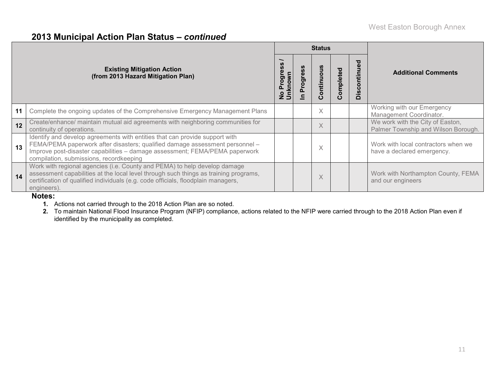### **2013 Municipal Action Plan Status –** *continued*

|    |                                                                                                                                                                                                                                                                                       |             |               | <b>Status</b>      |               |                                              |                                                                         |
|----|---------------------------------------------------------------------------------------------------------------------------------------------------------------------------------------------------------------------------------------------------------------------------------------|-------------|---------------|--------------------|---------------|----------------------------------------------|-------------------------------------------------------------------------|
|    | <b>Existing Mitigation Action</b><br>(from 2013 Hazard Mitigation Plan)                                                                                                                                                                                                               | nknown<br>ත | Progress<br>드 | ontinuous<br>ပ     | ompleted<br>Õ | ್ಠಾ<br>$\mathbf c$<br><u>ທີ່</u><br>$\Omega$ | <b>Additional Comments</b>                                              |
| 11 | Complete the ongoing updates of the Comprehensive Emergency Management Plans                                                                                                                                                                                                          |             |               | $\checkmark$<br>Λ. |               |                                              | Working with our Emergency<br>Management Coordinator.                   |
| 12 | Create/enhance/ maintain mutual aid agreements with neighboring communities for<br>continuity of operations.                                                                                                                                                                          |             |               | X                  |               |                                              | We work with the City of Easton,<br>Palmer Township and Wilson Borough. |
| 13 | Identify and develop agreements with entities that can provide support with<br>FEMA/PEMA paperwork after disasters; qualified damage assessment personnel -<br>Improve post-disaster capabilities - damage assessment; FEMA/PEMA paperwork<br>compilation, submissions, recordkeeping |             |               | $\curvearrowright$ |               |                                              | Work with local contractors when we<br>have a declared emergency.       |
| 14 | Work with regional agencies (i.e. County and PEMA) to help develop damage<br>assessment capabilities at the local level through such things as training programs,<br>certification of qualified individuals (e.g. code officials, floodplain managers,<br>engineers).                 |             |               | X                  |               |                                              | Work with Northampton County, FEMA<br>and our engineers                 |

#### **Notes:**

**1.** Actions not carried through to the 2018 Action Plan are so noted.

**2.** To maintain National Flood Insurance Program (NFIP) compliance, actions related to the NFIP were carried through to the 2018 Action Plan even if identified by the municipality as completed.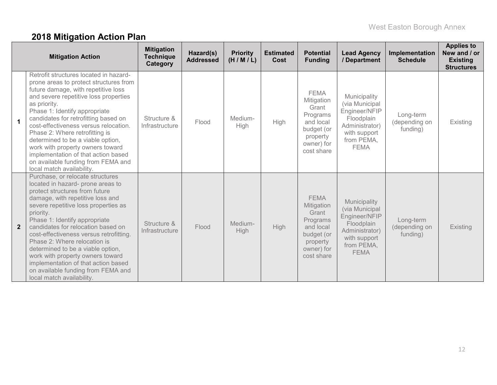# **2018 Mitigation Action Plan**

|                | <b>Mitigation Action</b>                                                                                                                                                                                                                                                                                                                                                                                                                                                                                                              | <b>Mitigation</b><br><b>Technique</b><br>Category | Hazard(s)<br><b>Addressed</b> | <b>Priority</b><br>(H/M/L) | <b>Estimated</b><br>Cost | <b>Potential</b><br><b>Funding</b>                                                                                | <b>Lead Agency</b><br>/ Department                                                                                           | Implementation<br><b>Schedule</b>      | <b>Applies to</b><br>New and / or<br><b>Existing</b><br><b>Structures</b> |
|----------------|---------------------------------------------------------------------------------------------------------------------------------------------------------------------------------------------------------------------------------------------------------------------------------------------------------------------------------------------------------------------------------------------------------------------------------------------------------------------------------------------------------------------------------------|---------------------------------------------------|-------------------------------|----------------------------|--------------------------|-------------------------------------------------------------------------------------------------------------------|------------------------------------------------------------------------------------------------------------------------------|----------------------------------------|---------------------------------------------------------------------------|
| $\mathbf 1$    | Retrofit structures located in hazard-<br>prone areas to protect structures from<br>future damage, with repetitive loss<br>and severe repetitive loss properties<br>as priority.<br>Phase 1: Identify appropriate<br>candidates for retrofitting based on<br>cost-effectiveness versus relocation.<br>Phase 2: Where retrofitting is<br>determined to be a viable option,<br>work with property owners toward<br>implementation of that action based<br>on available funding from FEMA and<br>local match availability.               | Structure &<br>Infrastructure                     | Flood                         | Medium-<br>High            | High                     | <b>FEMA</b><br>Mitigation<br>Grant<br>Programs<br>and local<br>budget (or<br>property<br>owner) for<br>cost share | Municipality<br>(via Municipal<br>Engineer/NFIP<br>Floodplain<br>Administrator)<br>with support<br>from PEMA,<br><b>FEMA</b> | Long-term<br>(depending on<br>funding) | Existing                                                                  |
| $\overline{2}$ | Purchase, or relocate structures<br>located in hazard- prone areas to<br>protect structures from future<br>damage, with repetitive loss and<br>severe repetitive loss properties as<br>priority.<br>Phase 1: Identify appropriate<br>candidates for relocation based on<br>cost-effectiveness versus retrofitting.<br>Phase 2: Where relocation is<br>determined to be a viable option,<br>work with property owners toward<br>implementation of that action based<br>on available funding from FEMA and<br>local match availability. | Structure &<br>Infrastructure                     | Flood                         | Medium-<br>High            | <b>High</b>              | <b>FEMA</b><br>Mitigation<br>Grant<br>Programs<br>and local<br>budget (or<br>property<br>owner) for<br>cost share | Municipality<br>(via Municipal<br>Engineer/NFIP<br>Floodplain<br>Administrator)<br>with support<br>from PEMA,<br><b>FEMA</b> | Long-term<br>(depending on<br>funding) | Existing                                                                  |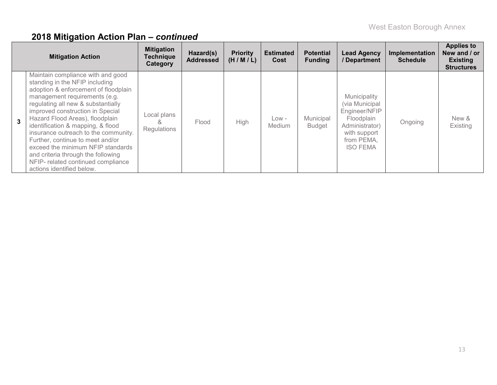|   | <b>Mitigation Action</b>                                                                                                                                                                                                                                                                                                                                                                                                                                                                                                 | <b>Mitigation</b><br><b>Technique</b><br>Category | Hazard(s)<br><b>Addressed</b> | <b>Priority</b><br>(H/M/L) | <b>Estimated</b><br>Cost | <b>Potential</b><br><b>Funding</b> | <b>Lead Agency</b><br>/Department                                                                                                | Implementation<br><b>Schedule</b> | <b>Applies to</b><br>New and / or<br><b>Existing</b><br><b>Structures</b> |
|---|--------------------------------------------------------------------------------------------------------------------------------------------------------------------------------------------------------------------------------------------------------------------------------------------------------------------------------------------------------------------------------------------------------------------------------------------------------------------------------------------------------------------------|---------------------------------------------------|-------------------------------|----------------------------|--------------------------|------------------------------------|----------------------------------------------------------------------------------------------------------------------------------|-----------------------------------|---------------------------------------------------------------------------|
| 3 | Maintain compliance with and good<br>standing in the NFIP including<br>adoption & enforcement of floodplain<br>management requirements (e.g.<br>regulating all new & substantially<br>improved construction in Special<br>Hazard Flood Areas), floodplain<br>identification & mapping, & flood<br>insurance outreach to the community.<br>Further, continue to meet and/or<br>exceed the minimum NFIP standards<br>and criteria through the following<br>NFIP- related continued compliance<br>actions identified below. | Local plans<br>Regulations                        | Flood                         | <b>High</b>                | $Low -$<br><b>Medium</b> | Municipal<br><b>Budget</b>         | Municipality<br>(via Municipal<br>Engineer/NFIP<br>Floodplain<br>Administrator)<br>with support<br>from PEMA,<br><b>ISO FEMA</b> | Ongoing                           | New &<br>Existing                                                         |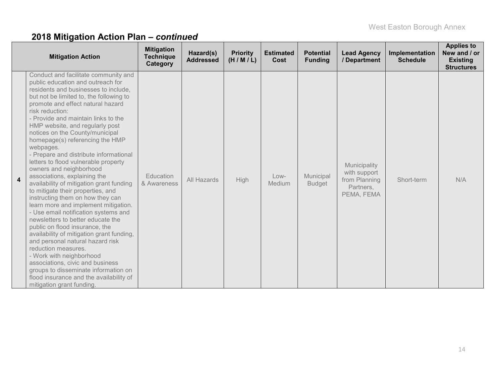|   | <b>Mitigation Action</b>                                                                                                                                                                                                                                                                                                                                                                                                                                                                                                                                                                                                                                                                                                                                                                                                                                                                                                                                                                                                                                                                           | <b>Mitigation</b><br><b>Technique</b><br>Category | Hazard(s)<br><b>Addressed</b> | <b>Priority</b><br>(H/M/L) | <b>Estimated</b><br>Cost | <b>Potential</b><br><b>Funding</b> | <b>Lead Agency</b><br>/ Department                                       | Implementation<br><b>Schedule</b> | <b>Applies to</b><br>New and / or<br><b>Existing</b><br><b>Structures</b> |
|---|----------------------------------------------------------------------------------------------------------------------------------------------------------------------------------------------------------------------------------------------------------------------------------------------------------------------------------------------------------------------------------------------------------------------------------------------------------------------------------------------------------------------------------------------------------------------------------------------------------------------------------------------------------------------------------------------------------------------------------------------------------------------------------------------------------------------------------------------------------------------------------------------------------------------------------------------------------------------------------------------------------------------------------------------------------------------------------------------------|---------------------------------------------------|-------------------------------|----------------------------|--------------------------|------------------------------------|--------------------------------------------------------------------------|-----------------------------------|---------------------------------------------------------------------------|
| 4 | Conduct and facilitate community and<br>public education and outreach for<br>residents and businesses to include,<br>but not be limited to, the following to<br>promote and effect natural hazard<br>risk reduction:<br>- Provide and maintain links to the<br>HMP website, and regularly post<br>notices on the County/municipal<br>homepage(s) referencing the HMP<br>webpages.<br>- Prepare and distribute informational<br>letters to flood vulnerable property<br>owners and neighborhood<br>associations, explaining the<br>availability of mitigation grant funding<br>to mitigate their properties, and<br>instructing them on how they can<br>learn more and implement mitigation.<br>- Use email notification systems and<br>newsletters to better educate the<br>public on flood insurance, the<br>availability of mitigation grant funding,<br>and personal natural hazard risk<br>reduction measures.<br>- Work with neighborhood<br>associations, civic and business<br>groups to disseminate information on<br>flood insurance and the availability of<br>mitigation grant funding. | Education<br>& Awareness                          | All Hazards                   | High                       | $Low-$<br>Medium         | Municipal<br><b>Budget</b>         | Municipality<br>with support<br>from Planning<br>Partners,<br>PEMA, FEMA | Short-term                        | N/A                                                                       |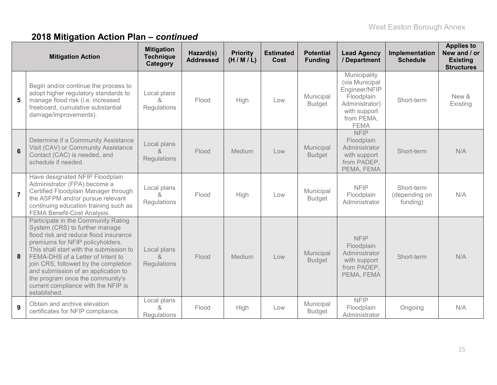|                | <b>Mitigation Action</b>                                                                                                                                                                                                                                                                                                                                                                                     | <b>Mitigation</b><br><b>Technique</b><br>Category | Hazard(s)<br><b>Addressed</b> | <b>Priority</b><br>(H/M/L) | <b>Estimated</b><br>Cost | <b>Potential</b><br><b>Funding</b> | <b>Lead Agency</b><br>/ Department                                                                                           | Implementation<br><b>Schedule</b>       | <b>Applies to</b><br>New and / or<br><b>Existing</b><br><b>Structures</b> |
|----------------|--------------------------------------------------------------------------------------------------------------------------------------------------------------------------------------------------------------------------------------------------------------------------------------------------------------------------------------------------------------------------------------------------------------|---------------------------------------------------|-------------------------------|----------------------------|--------------------------|------------------------------------|------------------------------------------------------------------------------------------------------------------------------|-----------------------------------------|---------------------------------------------------------------------------|
| 5              | Begin and/or continue the process to<br>adopt higher regulatory standards to<br>manage flood risk (i.e. increased<br>freeboard, cumulative substantial<br>damage/improvements).                                                                                                                                                                                                                              | Local plans<br>&<br>Regulations                   | Flood                         | High                       | Low                      | Municipal<br><b>Budget</b>         | Municipality<br>(via Municipal<br>Engineer/NFIP<br>Floodplain<br>Administrator)<br>with support<br>from PEMA,<br><b>FEMA</b> | Short-term                              | New &<br>Existing                                                         |
| $6\phantom{1}$ | Determine if a Community Assistance<br>Visit (CAV) or Community Assistance<br>Contact (CAC) is needed, and<br>schedule if needed.                                                                                                                                                                                                                                                                            | Local plans<br>&<br>Regulations                   | Flood                         | <b>Medium</b>              | Low                      | Municipal<br><b>Budget</b>         | <b>NFIP</b><br>Floodplain<br>Administrator<br>with support<br>from PADEP,<br>PEMA, FEMA                                      | Short-term                              | N/A                                                                       |
| $\overline{7}$ | Have designated NFIP Floodplain<br>Administrator (FPA) become a<br>Certified Floodplain Manager through<br>the ASFPM and/or pursue relevant<br>continuing education training such as<br><b>FEMA Benefit-Cost Analysis.</b>                                                                                                                                                                                   | Local plans<br>8<br>Regulations                   | Flood                         | High                       | Low                      | Municipal<br><b>Budget</b>         | <b>NFIP</b><br>Floodplain<br>Administrator                                                                                   | Short-term<br>(depending on<br>funding) | N/A                                                                       |
| 8              | Participate in the Community Rating<br>System (CRS) to further manage<br>flood risk and reduce flood insurance<br>premiums for NFIP policyholders.<br>This shall start with the submission to<br>FEMA-DHS of a Letter of Intent to<br>join CRS, followed by the completion<br>and submission of an application to<br>the program once the community's<br>current compliance with the NFIP is<br>established. | Local plans<br>&<br>Regulations                   | Flood                         | Medium                     | Low                      | Municipal<br><b>Budget</b>         | <b>NFIP</b><br>Floodplain<br>Administrator<br>with support<br>from PADEP,<br>PEMA, FEMA                                      | Short-term                              | N/A                                                                       |
| 9              | Obtain and archive elevation<br>certificates for NFIP compliance.                                                                                                                                                                                                                                                                                                                                            | Local plans<br>&<br><b>Regulations</b>            | Flood                         | High                       | Low                      | Municipal<br><b>Budget</b>         | <b>NFIP</b><br>Floodplain<br>Administrator                                                                                   | Ongoing                                 | N/A                                                                       |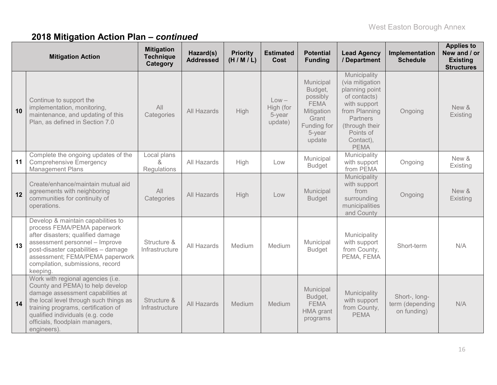|    | <b>Mitigation Action</b>                                                                                                                                                                                                                                                         | <b>Mitigation</b><br><b>Technique</b><br>Category         | Hazard(s)<br><b>Addressed</b> | <b>Priority</b><br>(H/M/L) | <b>Estimated</b><br>Cost                  | <b>Potential</b><br><b>Funding</b>                                                                        | <b>Lead Agency</b><br>/ Department                                                                                                                                        | Implementation<br><b>Schedule</b>               | <b>Applies to</b><br>New and / or<br><b>Existing</b><br><b>Structures</b> |
|----|----------------------------------------------------------------------------------------------------------------------------------------------------------------------------------------------------------------------------------------------------------------------------------|-----------------------------------------------------------|-------------------------------|----------------------------|-------------------------------------------|-----------------------------------------------------------------------------------------------------------|---------------------------------------------------------------------------------------------------------------------------------------------------------------------------|-------------------------------------------------|---------------------------------------------------------------------------|
| 10 | Continue to support the<br>implementation, monitoring,<br>maintenance, and updating of this<br>Plan, as defined in Section 7.0                                                                                                                                                   | All<br>Categories                                         | All Hazards                   | High                       | $Low -$<br>High (for<br>5-year<br>update) | Municipal<br>Budget,<br>possibly<br><b>FEMA</b><br>Mitigation<br>Grant<br>Funding for<br>5-year<br>update | Municipality<br>(via mitigation<br>planning point<br>of contacts)<br>with support<br>from Planning<br>Partners<br>(through their<br>Points of<br>Contact),<br><b>PEMA</b> | Ongoing                                         | New &<br>Existing                                                         |
| 11 | Complete the ongoing updates of the<br><b>Comprehensive Emergency</b><br><b>Management Plans</b>                                                                                                                                                                                 | Local plans<br>$\mathcal{R}_{\mathcal{L}}$<br>Regulations | All Hazards                   | High                       | Low                                       | Municipal<br><b>Budget</b>                                                                                | Municipality<br>with support<br>from PEMA                                                                                                                                 | Ongoing                                         | New &<br>Existing                                                         |
| 12 | Create/enhance/maintain mutual aid<br>agreements with neighboring<br>communities for continuity of<br>operations.                                                                                                                                                                | All<br>Categories                                         | All Hazards                   | High                       | Low                                       | Municipal<br><b>Budget</b>                                                                                | Municipality<br>with support<br>from<br>surrounding<br>municipalities<br>and County                                                                                       | Ongoing                                         | New &<br>Existing                                                         |
| 13 | Develop & maintain capabilities to<br>process FEMA/PEMA paperwork<br>after disasters; qualified damage<br>assessment personnel - Improve<br>post-disaster capabilities - damage<br>assessment; FEMA/PEMA paperwork<br>compilation, submissions, record<br>keeping.               | Structure &<br>Infrastructure                             | All Hazards                   | Medium                     | Medium                                    | Municipal<br><b>Budget</b>                                                                                | Municipality<br>with support<br>from County,<br>PEMA, FEMA                                                                                                                | Short-term                                      | N/A                                                                       |
| 14 | Work with regional agencies (i.e.<br>County and PEMA) to help develop<br>damage assessment capabilities at<br>the local level through such things as<br>training programs, certification of<br>qualified individuals (e.g. code<br>officials, floodplain managers,<br>engineers) | Structure &<br>Infrastructure                             | All Hazards                   | Medium                     | Medium                                    | Municipal<br>Budget,<br><b>FEMA</b><br><b>HMA</b> grant<br>programs                                       | Municipality<br>with support<br>from County,<br><b>PEMA</b>                                                                                                               | Short-, long-<br>term (depending<br>on funding) | N/A                                                                       |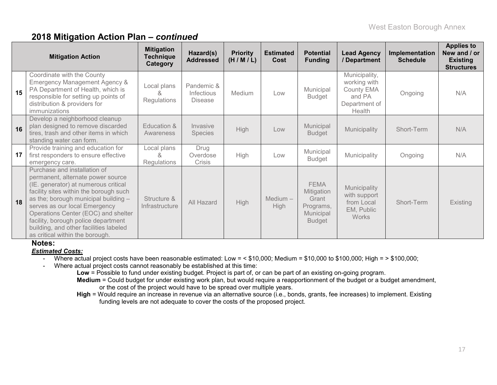|    | <b>Mitigation Action</b>                                                                                                                                                                                                                                                                                                                                                                | <b>Mitigation</b><br><b>Technique</b><br>Category | Hazard(s)<br><b>Addressed</b>              | <b>Priority</b><br>(H/M/L) | <b>Estimated</b><br>Cost  | <b>Potential</b><br><b>Funding</b>                                            | <b>Lead Agency</b><br>/ Department                                                      | Implementation<br><b>Schedule</b> | <b>Applies to</b><br>New and / or<br><b>Existing</b><br><b>Structures</b> |
|----|-----------------------------------------------------------------------------------------------------------------------------------------------------------------------------------------------------------------------------------------------------------------------------------------------------------------------------------------------------------------------------------------|---------------------------------------------------|--------------------------------------------|----------------------------|---------------------------|-------------------------------------------------------------------------------|-----------------------------------------------------------------------------------------|-----------------------------------|---------------------------------------------------------------------------|
| 15 | Coordinate with the County<br>Emergency Management Agency &<br>PA Department of Health, which is<br>responsible for setting up points of<br>distribution & providers for<br>immunizations                                                                                                                                                                                               | Local plans<br>Regulations                        | Pandemic &<br>Infectious<br><b>Disease</b> | Medium                     | Low                       | Municipal<br>Budget                                                           | Municipality,<br>working with<br><b>County EMA</b><br>and PA<br>Department of<br>Health | Ongoing                           | N/A                                                                       |
| 16 | Develop a neighborhood cleanup<br>plan designed to remove discarded<br>tires, trash and other items in which<br>standing water can form.                                                                                                                                                                                                                                                | Education &<br>Awareness                          | Invasive<br><b>Species</b>                 | <b>High</b>                | Low                       | Municipal<br><b>Budget</b>                                                    | Municipality                                                                            | Short-Term                        | N/A                                                                       |
| 17 | Provide training and education for<br>first responders to ensure effective<br>emergency care.                                                                                                                                                                                                                                                                                           | Local plans<br>8,<br>Regulations                  | Drug<br>Overdose<br>Crisis                 | High                       | Low                       | Municipal<br><b>Budget</b>                                                    | Municipality                                                                            | Ongoing                           | N/A                                                                       |
| 18 | Purchase and installation of<br>permanent, alternate power source<br>(IE. generator) at numerous critical<br>facility sites within the borough such<br>as the; borough municipal building -<br>serves as our local Emergency<br>Operations Center (EOC) and shelter<br>facility, borough police department<br>building, and other facilities labeled<br>as critical within the borough. | Structure &<br>Infrastructure                     | All Hazard                                 | <b>High</b>                | $Median -$<br><b>High</b> | <b>FEMA</b><br>Mitigation<br>Grant<br>Programs,<br>Municipal<br><b>Budget</b> | Municipality<br>with support<br>from Local<br>EM, Public<br><b>Works</b>                | Short-Term                        | Existing                                                                  |

#### **Notes:**

*Estimated Costs:*

- Where actual project costs have been reasonable estimated: Low = < \$10,000; Medium = \$10,000 to \$100,000; High = > \$100,000;

- Where actual project costs cannot reasonably be established at this time:

**Low** = Possible to fund under existing budget. Project is part of, or can be part of an existing on-going program.

**Medium** = Could budget for under existing work plan, but would require a reapportionment of the budget or a budget amendment, or the cost of the project would have to be spread over multiple years.

**High** = Would require an increase in revenue via an alternative source (i.e., bonds, grants, fee increases) to implement. Existing funding levels are not adequate to cover the costs of the proposed project.